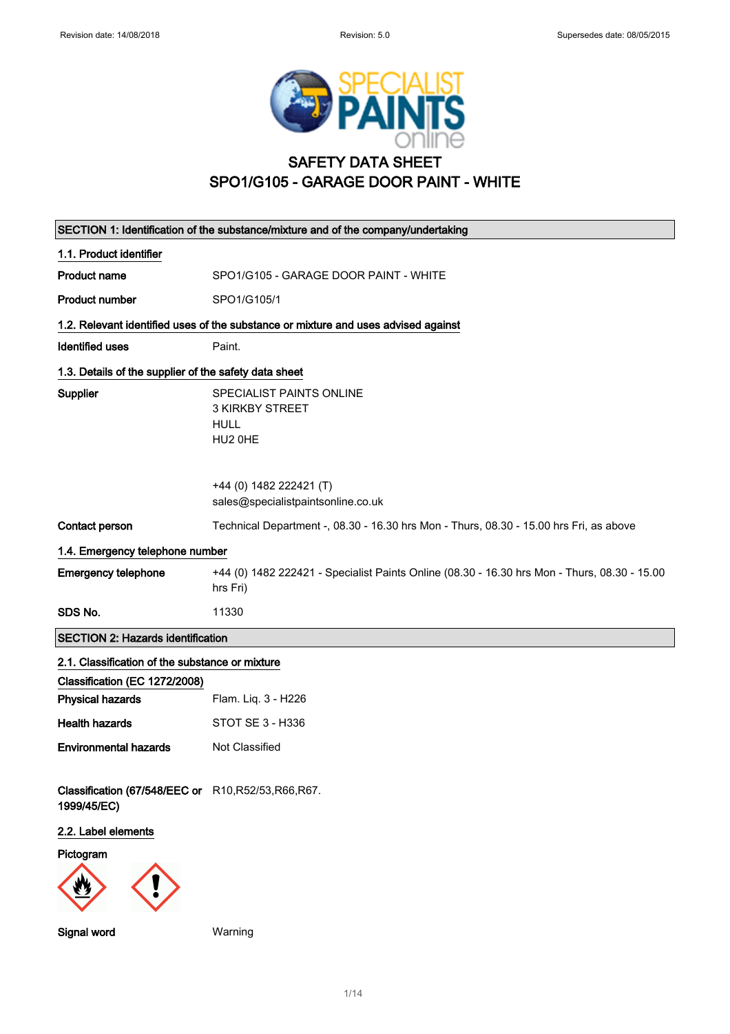

# SAFETY DATA SHEET SPO1/G105 - GARAGE DOOR PAINT - WHITE

| SECTION 1: Identification of the substance/mixture and of the company/undertaking |                                                                                                          |  |  |
|-----------------------------------------------------------------------------------|----------------------------------------------------------------------------------------------------------|--|--|
| 1.1. Product identifier                                                           |                                                                                                          |  |  |
| <b>Product name</b>                                                               | SPO1/G105 - GARAGE DOOR PAINT - WHITE                                                                    |  |  |
| <b>Product number</b>                                                             | SPO1/G105/1                                                                                              |  |  |
|                                                                                   | 1.2. Relevant identified uses of the substance or mixture and uses advised against                       |  |  |
| <b>Identified uses</b>                                                            | Paint.                                                                                                   |  |  |
|                                                                                   | 1.3. Details of the supplier of the safety data sheet                                                    |  |  |
| Supplier                                                                          | SPECIALIST PAINTS ONLINE<br><b>3 KIRKBY STREET</b><br><b>HULL</b><br>HU2 OHE                             |  |  |
|                                                                                   | +44 (0) 1482 222421 (T)<br>sales@specialistpaintsonline.co.uk                                            |  |  |
| Contact person                                                                    | Technical Department -, 08.30 - 16.30 hrs Mon - Thurs, 08.30 - 15.00 hrs Fri, as above                   |  |  |
| 1.4. Emergency telephone number                                                   |                                                                                                          |  |  |
| <b>Emergency telephone</b>                                                        | +44 (0) 1482 222421 - Specialist Paints Online (08.30 - 16.30 hrs Mon - Thurs, 08.30 - 15.00<br>hrs Fri) |  |  |
| SDS No.                                                                           | 11330                                                                                                    |  |  |
| <b>SECTION 2: Hazards identification</b>                                          |                                                                                                          |  |  |
| 2.1. Classification of the substance or mixture                                   |                                                                                                          |  |  |
| Classification (EC 1272/2008)                                                     |                                                                                                          |  |  |
| <b>Physical hazards</b>                                                           | Flam. Liq. 3 - H226                                                                                      |  |  |
| <b>Health hazards</b>                                                             | STOT SE 3 - H336                                                                                         |  |  |
| <b>Environmental hazards</b>                                                      | Not Classified                                                                                           |  |  |
| Classification (67/548/EEC or R10, R52/53, R66, R67.<br>1999/45/EC)               |                                                                                                          |  |  |
| 2.2. Label elements                                                               |                                                                                                          |  |  |
| Pictogram                                                                         |                                                                                                          |  |  |
| Signal word                                                                       | Warning                                                                                                  |  |  |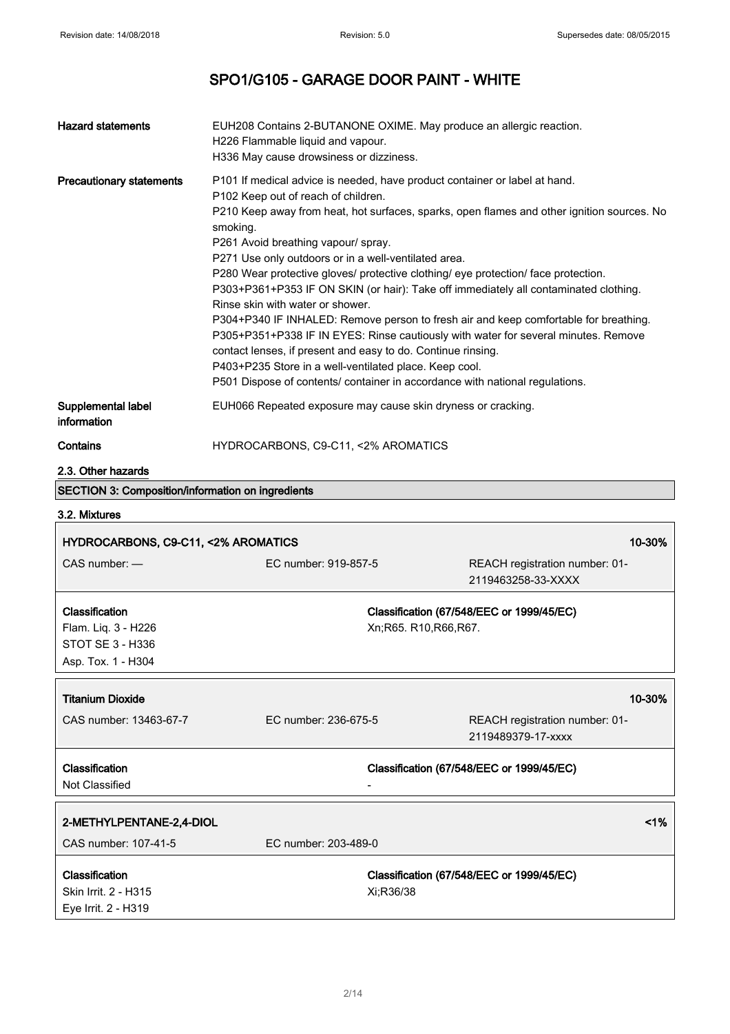| <b>Hazard statements</b>                                                        | EUH208 Contains 2-BUTANONE OXIME. May produce an allergic reaction.<br>H226 Flammable liquid and vapour.<br>H336 May cause drowsiness or dizziness.                                                                                                                                                                                                                                                                                                                                                                                                              |                                                                                                                                                                                                                                                                                                                                                                  |
|---------------------------------------------------------------------------------|------------------------------------------------------------------------------------------------------------------------------------------------------------------------------------------------------------------------------------------------------------------------------------------------------------------------------------------------------------------------------------------------------------------------------------------------------------------------------------------------------------------------------------------------------------------|------------------------------------------------------------------------------------------------------------------------------------------------------------------------------------------------------------------------------------------------------------------------------------------------------------------------------------------------------------------|
| <b>Precautionary statements</b>                                                 | P101 If medical advice is needed, have product container or label at hand.<br>P102 Keep out of reach of children.<br>smoking.<br>P261 Avoid breathing vapour/ spray.<br>P271 Use only outdoors or in a well-ventilated area.<br>P280 Wear protective gloves/ protective clothing/ eye protection/ face protection.<br>Rinse skin with water or shower.<br>contact lenses, if present and easy to do. Continue rinsing.<br>P403+P235 Store in a well-ventilated place. Keep cool.<br>P501 Dispose of contents/ container in accordance with national regulations. | P210 Keep away from heat, hot surfaces, sparks, open flames and other ignition sources. No<br>P303+P361+P353 IF ON SKIN (or hair): Take off immediately all contaminated clothing.<br>P304+P340 IF INHALED: Remove person to fresh air and keep comfortable for breathing.<br>P305+P351+P338 IF IN EYES: Rinse cautiously with water for several minutes. Remove |
| Supplemental label<br>information                                               | EUH066 Repeated exposure may cause skin dryness or cracking.                                                                                                                                                                                                                                                                                                                                                                                                                                                                                                     |                                                                                                                                                                                                                                                                                                                                                                  |
| Contains                                                                        | HYDROCARBONS, C9-C11, <2% AROMATICS                                                                                                                                                                                                                                                                                                                                                                                                                                                                                                                              |                                                                                                                                                                                                                                                                                                                                                                  |
| 2.3. Other hazards                                                              |                                                                                                                                                                                                                                                                                                                                                                                                                                                                                                                                                                  |                                                                                                                                                                                                                                                                                                                                                                  |
| <b>SECTION 3: Composition/information on ingredients</b>                        |                                                                                                                                                                                                                                                                                                                                                                                                                                                                                                                                                                  |                                                                                                                                                                                                                                                                                                                                                                  |
| 3.2. Mixtures                                                                   |                                                                                                                                                                                                                                                                                                                                                                                                                                                                                                                                                                  |                                                                                                                                                                                                                                                                                                                                                                  |
| HYDROCARBONS, C9-C11, <2% AROMATICS                                             |                                                                                                                                                                                                                                                                                                                                                                                                                                                                                                                                                                  | 10-30%                                                                                                                                                                                                                                                                                                                                                           |
| CAS number: -                                                                   | EC number: 919-857-5                                                                                                                                                                                                                                                                                                                                                                                                                                                                                                                                             | REACH registration number: 01-                                                                                                                                                                                                                                                                                                                                   |
|                                                                                 |                                                                                                                                                                                                                                                                                                                                                                                                                                                                                                                                                                  | 2119463258-33-XXXX                                                                                                                                                                                                                                                                                                                                               |
| Classification<br>Flam. Liq. 3 - H226<br>STOT SE 3 - H336<br>Asp. Tox. 1 - H304 |                                                                                                                                                                                                                                                                                                                                                                                                                                                                                                                                                                  | Classification (67/548/EEC or 1999/45/EC)<br>Xn;R65. R10,R66,R67.                                                                                                                                                                                                                                                                                                |
|                                                                                 |                                                                                                                                                                                                                                                                                                                                                                                                                                                                                                                                                                  |                                                                                                                                                                                                                                                                                                                                                                  |
| <b>Titanium Dioxide</b><br>CAS number: 13463-67-7                               | EC number: 236-675-5                                                                                                                                                                                                                                                                                                                                                                                                                                                                                                                                             | 10-30%<br>REACH registration number: 01-<br>2119489379-17-xxxx                                                                                                                                                                                                                                                                                                   |
| Classification<br>Not Classified                                                |                                                                                                                                                                                                                                                                                                                                                                                                                                                                                                                                                                  | Classification (67/548/EEC or 1999/45/EC)                                                                                                                                                                                                                                                                                                                        |
| 2-METHYLPENTANE-2,4-DIOL<br>CAS number: 107-41-5                                | EC number: 203-489-0                                                                                                                                                                                                                                                                                                                                                                                                                                                                                                                                             | 1%                                                                                                                                                                                                                                                                                                                                                               |

Eye Irrit. 2 - H319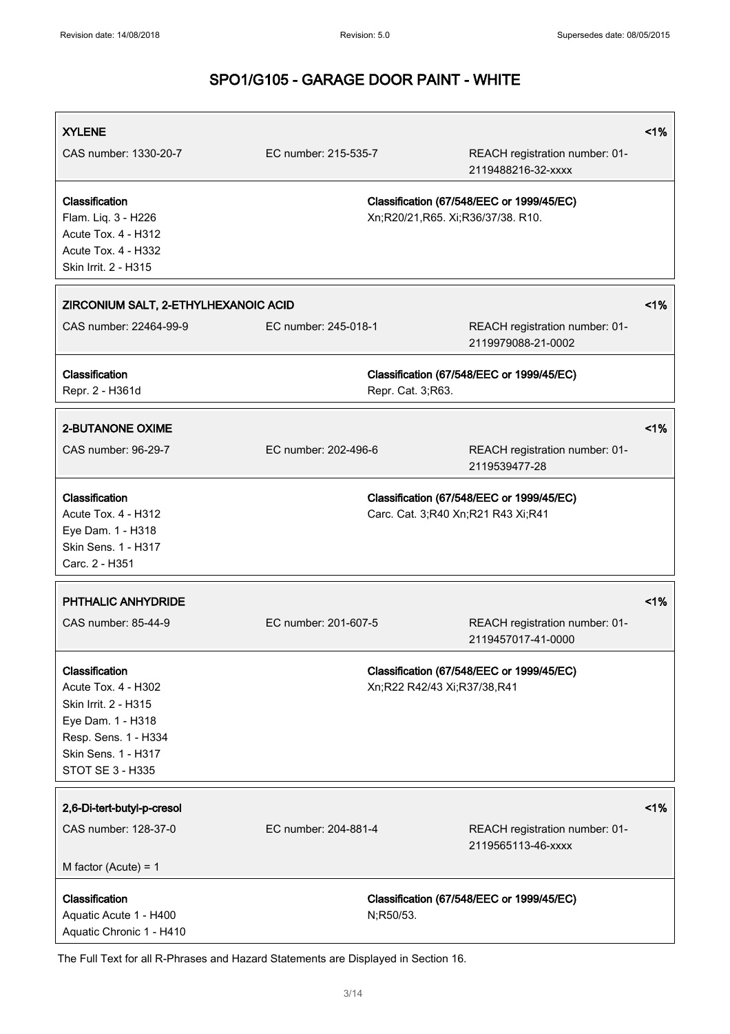| <b>XYLENE</b>                                                                                                                                         |                      |                                    |                                                      | 1%    |
|-------------------------------------------------------------------------------------------------------------------------------------------------------|----------------------|------------------------------------|------------------------------------------------------|-------|
| CAS number: 1330-20-7                                                                                                                                 | EC number: 215-535-7 |                                    | REACH registration number: 01-<br>2119488216-32-xxxx |       |
| Classification<br>Flam. Liq. 3 - H226<br>Acute Tox. 4 - H312<br>Acute Tox. 4 - H332<br>Skin Irrit. 2 - H315                                           |                      | Xn;R20/21,R65. Xi;R36/37/38. R10.  | Classification (67/548/EEC or 1999/45/EC)            |       |
| ZIRCONIUM SALT, 2-ETHYLHEXANOIC ACID                                                                                                                  |                      |                                    |                                                      | $1\%$ |
| CAS number: 22464-99-9                                                                                                                                | EC number: 245-018-1 |                                    | REACH registration number: 01-<br>2119979088-21-0002 |       |
| Classification<br>Repr. 2 - H361d                                                                                                                     |                      | Repr. Cat. 3;R63.                  | Classification (67/548/EEC or 1999/45/EC)            |       |
| <b>2-BUTANONE OXIME</b>                                                                                                                               |                      |                                    |                                                      | $1\%$ |
| CAS number: 96-29-7                                                                                                                                   | EC number: 202-496-6 |                                    | REACH registration number: 01-<br>2119539477-28      |       |
| Classification<br>Acute Tox. 4 - H312<br>Eye Dam. 1 - H318<br>Skin Sens. 1 - H317<br>Carc. 2 - H351                                                   |                      | Carc. Cat. 3;R40 Xn;R21 R43 Xi;R41 | Classification (67/548/EEC or 1999/45/EC)            |       |
| PHTHALIC ANHYDRIDE                                                                                                                                    |                      |                                    |                                                      | 1%    |
| CAS number: 85-44-9                                                                                                                                   | EC number: 201-607-5 |                                    | REACH registration number: 01-<br>2119457017-41-0000 |       |
| Classification<br>Acute Tox. 4 - H302<br>Skin Irrit. 2 - H315<br>Eye Dam. 1 - H318<br>Resp. Sens. 1 - H334<br>Skin Sens. 1 - H317<br>STOT SE 3 - H335 |                      | Xn;R22 R42/43 Xi;R37/38,R41        | Classification (67/548/EEC or 1999/45/EC)            |       |
| 2,6-Di-tert-butyl-p-cresol<br>$1\%$                                                                                                                   |                      |                                    |                                                      |       |
| CAS number: 128-37-0                                                                                                                                  | EC number: 204-881-4 |                                    | REACH registration number: 01-<br>2119565113-46-xxxx |       |
| M factor (Acute) = $1$                                                                                                                                |                      |                                    |                                                      |       |
| Classification<br>Aquatic Acute 1 - H400<br>Aquatic Chronic 1 - H410                                                                                  |                      | N;R50/53.                          | Classification (67/548/EEC or 1999/45/EC)            |       |

The Full Text for all R-Phrases and Hazard Statements are Displayed in Section 16.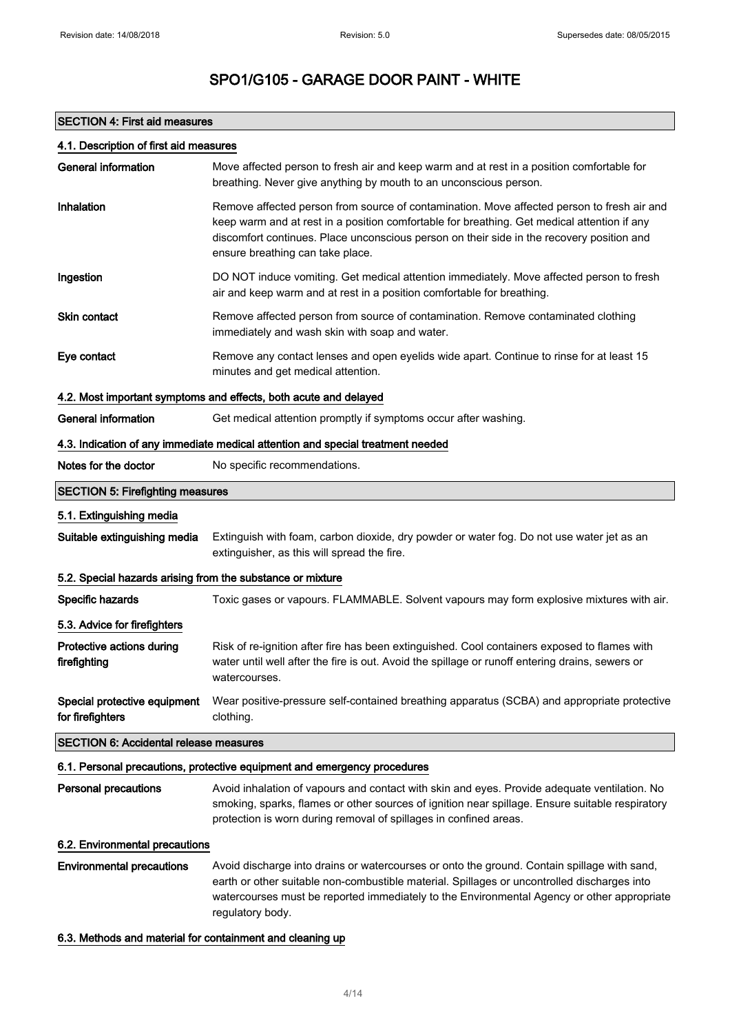### SECTION 4: First aid measures

### 4.1. Description of first aid measures

| <b>General information</b>                                                      | Move affected person to fresh air and keep warm and at rest in a position comfortable for<br>breathing. Never give anything by mouth to an unconscious person.                                                                                                                                                             |  |
|---------------------------------------------------------------------------------|----------------------------------------------------------------------------------------------------------------------------------------------------------------------------------------------------------------------------------------------------------------------------------------------------------------------------|--|
| Inhalation                                                                      | Remove affected person from source of contamination. Move affected person to fresh air and<br>keep warm and at rest in a position comfortable for breathing. Get medical attention if any<br>discomfort continues. Place unconscious person on their side in the recovery position and<br>ensure breathing can take place. |  |
| Ingestion                                                                       | DO NOT induce vomiting. Get medical attention immediately. Move affected person to fresh<br>air and keep warm and at rest in a position comfortable for breathing.                                                                                                                                                         |  |
| <b>Skin contact</b>                                                             | Remove affected person from source of contamination. Remove contaminated clothing<br>immediately and wash skin with soap and water.                                                                                                                                                                                        |  |
| Eye contact                                                                     | Remove any contact lenses and open eyelids wide apart. Continue to rinse for at least 15<br>minutes and get medical attention.                                                                                                                                                                                             |  |
|                                                                                 | 4.2. Most important symptoms and effects, both acute and delayed                                                                                                                                                                                                                                                           |  |
| <b>General information</b>                                                      | Get medical attention promptly if symptoms occur after washing.                                                                                                                                                                                                                                                            |  |
| 4.3. Indication of any immediate medical attention and special treatment needed |                                                                                                                                                                                                                                                                                                                            |  |
| Notes for the doctor                                                            | No specific recommendations.                                                                                                                                                                                                                                                                                               |  |
| <b>SECTION 5: Firefighting measures</b>                                         |                                                                                                                                                                                                                                                                                                                            |  |
| 5.1. Extinguishing media                                                        |                                                                                                                                                                                                                                                                                                                            |  |
| Suitable extinguishing media                                                    | Extinguish with foam, carbon dioxide, dry powder or water fog. Do not use water jet as an<br>extinguisher, as this will spread the fire.                                                                                                                                                                                   |  |
| 5.2. Special hazards arising from the substance or mixture                      |                                                                                                                                                                                                                                                                                                                            |  |
| Specific hazards                                                                | Toxic gases or vapours. FLAMMABLE. Solvent vapours may form explosive mixtures with air.                                                                                                                                                                                                                                   |  |
| 5.3. Advice for firefighters                                                    |                                                                                                                                                                                                                                                                                                                            |  |
| Protective actions during<br>firefighting                                       | Risk of re-ignition after fire has been extinguished. Cool containers exposed to flames with<br>water until well after the fire is out. Avoid the spillage or runoff entering drains, sewers or<br>watercourses.                                                                                                           |  |
| Special protective equipment<br>for firefighters                                | Wear positive-pressure self-contained breathing apparatus (SCBA) and appropriate protective<br>clothing.                                                                                                                                                                                                                   |  |
| <b>SECTION 6: Accidental release measures</b>                                   |                                                                                                                                                                                                                                                                                                                            |  |
|                                                                                 | 6.1. Personal precautions, protective equipment and emergency procedures                                                                                                                                                                                                                                                   |  |
| <b>Personal precautions</b>                                                     | Avoid inhalation of vapours and contact with skin and eyes. Provide adequate ventilation. No<br>smoking, sparks, flames or other sources of ignition near spillage. Ensure suitable respiratory<br>protection is worn during removal of spillages in confined areas.                                                       |  |
| 6.2. Environmental precautions                                                  |                                                                                                                                                                                                                                                                                                                            |  |
| <b>Environmental precautions</b>                                                | Avoid discharge into drains or watercourses or onto the ground. Contain spillage with sand,<br>earth or other suitable non-combustible material. Spillages or uncontrolled discharges into<br>watercourses must be reported immediately to the Environmental Agency or other appropriate<br>regulatory body.               |  |

### 6.3. Methods and material for containment and cleaning up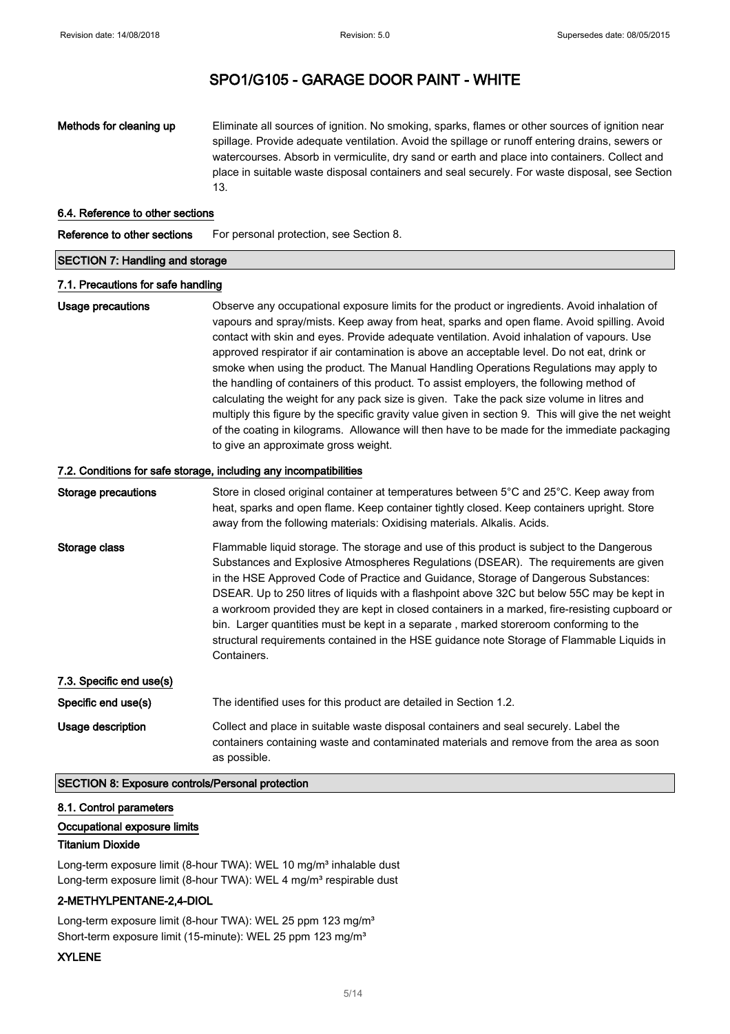Methods for cleaning up Eliminate all sources of ignition. No smoking, sparks, flames or other sources of ignition near spillage. Provide adequate ventilation. Avoid the spillage or runoff entering drains, sewers or watercourses. Absorb in vermiculite, dry sand or earth and place into containers. Collect and place in suitable waste disposal containers and seal securely. For waste disposal, see Section 13.

#### 6.4. Reference to other sections

Reference to other sections For personal protection, see Section 8.

#### SECTION 7: Handling and storage

#### 7.1. Precautions for safe handling

Usage precautions **Observe any occupational exposure limits for the product or ingredients.** Avoid inhalation of vapours and spray/mists. Keep away from heat, sparks and open flame. Avoid spilling. Avoid contact with skin and eyes. Provide adequate ventilation. Avoid inhalation of vapours. Use approved respirator if air contamination is above an acceptable level. Do not eat, drink or smoke when using the product. The Manual Handling Operations Regulations may apply to the handling of containers of this product. To assist employers, the following method of calculating the weight for any pack size is given. Take the pack size volume in litres and multiply this figure by the specific gravity value given in section 9. This will give the net weight of the coating in kilograms. Allowance will then have to be made for the immediate packaging to give an approximate gross weight.

#### 7.2. Conditions for safe storage, including any incompatibilities

| <b>Storage precautions</b> | Store in closed original container at temperatures between 5°C and 25°C. Keep away from<br>heat, sparks and open flame. Keep container tightly closed. Keep containers upright. Store<br>away from the following materials: Oxidising materials. Alkalis. Acids.                                                                                                                                                                                                                                                                                                                                                                                                                |
|----------------------------|---------------------------------------------------------------------------------------------------------------------------------------------------------------------------------------------------------------------------------------------------------------------------------------------------------------------------------------------------------------------------------------------------------------------------------------------------------------------------------------------------------------------------------------------------------------------------------------------------------------------------------------------------------------------------------|
| Storage class              | Flammable liquid storage. The storage and use of this product is subject to the Dangerous<br>Substances and Explosive Atmospheres Regulations (DSEAR). The requirements are given<br>in the HSE Approved Code of Practice and Guidance, Storage of Dangerous Substances:<br>DSEAR. Up to 250 litres of liquids with a flashpoint above 32C but below 55C may be kept in<br>a workroom provided they are kept in closed containers in a marked, fire-resisting cupboard or<br>bin. Larger quantities must be kept in a separate, marked storeroom conforming to the<br>structural requirements contained in the HSE guidance note Storage of Flammable Liquids in<br>Containers. |
| 7.3. Specific end use(s)   |                                                                                                                                                                                                                                                                                                                                                                                                                                                                                                                                                                                                                                                                                 |
| Specific end use(s)        | The identified uses for this product are detailed in Section 1.2.                                                                                                                                                                                                                                                                                                                                                                                                                                                                                                                                                                                                               |
| Usage description          | Collect and place in suitable waste disposal containers and seal securely. Label the<br>containers containing waste and contaminated materials and remove from the area as soon<br>as possible.                                                                                                                                                                                                                                                                                                                                                                                                                                                                                 |

#### SECTION 8: Exposure controls/Personal protection

#### 8.1. Control parameters

#### Occupational exposure limits

#### Titanium Dioxide

Long-term exposure limit (8-hour TWA): WEL 10 mg/m<sup>3</sup> inhalable dust Long-term exposure limit (8-hour TWA): WEL 4 mg/m<sup>3</sup> respirable dust

### 2-METHYLPENTANE-2,4-DIOL

Long-term exposure limit (8-hour TWA): WEL 25 ppm 123 mg/m<sup>3</sup> Short-term exposure limit (15-minute): WEL 25 ppm 123 mg/m<sup>3</sup>

### XYLENE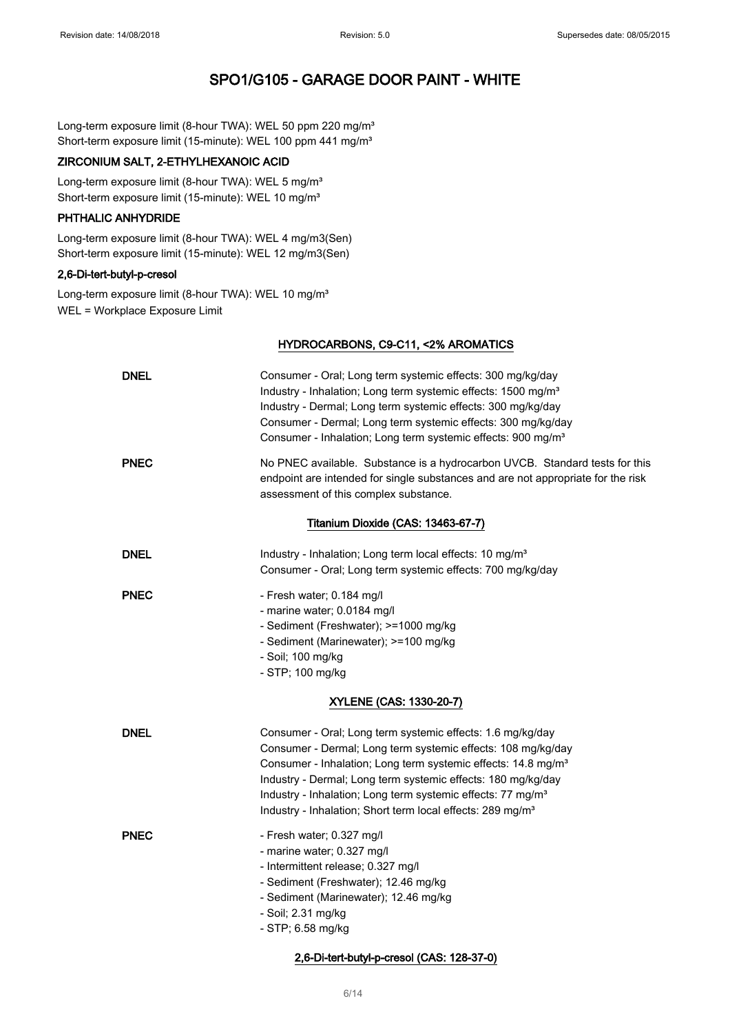Long-term exposure limit (8-hour TWA): WEL 50 ppm 220 mg/m<sup>3</sup> Short-term exposure limit (15-minute): WEL 100 ppm 441 mg/m<sup>3</sup>

### ZIRCONIUM SALT, 2-ETHYLHEXANOIC ACID

Long-term exposure limit (8-hour TWA): WEL 5 mg/m<sup>3</sup> Short-term exposure limit (15-minute): WEL 10 mg/m<sup>3</sup>

### PHTHALIC ANHYDRIDE

Long-term exposure limit (8-hour TWA): WEL 4 mg/m3(Sen) Short-term exposure limit (15-minute): WEL 12 mg/m3(Sen)

### 2,6-Di-tert-butyl-p-cresol

Long-term exposure limit (8-hour TWA): WEL 10 mg/m<sup>3</sup> WEL = Workplace Exposure Limit

### HYDROCARBONS, C9-C11, <2% AROMATICS

| <b>DNEL</b>             | Consumer - Oral; Long term systemic effects: 300 mg/kg/day<br>Industry - Inhalation; Long term systemic effects: 1500 mg/m <sup>3</sup><br>Industry - Dermal; Long term systemic effects: 300 mg/kg/day<br>Consumer - Dermal; Long term systemic effects: 300 mg/kg/day<br>Consumer - Inhalation; Long term systemic effects: 900 mg/m <sup>3</sup>                                                                          |  |
|-------------------------|------------------------------------------------------------------------------------------------------------------------------------------------------------------------------------------------------------------------------------------------------------------------------------------------------------------------------------------------------------------------------------------------------------------------------|--|
| <b>PNEC</b>             | No PNEC available. Substance is a hydrocarbon UVCB. Standard tests for this<br>endpoint are intended for single substances and are not appropriate for the risk<br>assessment of this complex substance.                                                                                                                                                                                                                     |  |
|                         | Titanium Dioxide (CAS: 13463-67-7)                                                                                                                                                                                                                                                                                                                                                                                           |  |
| <b>DNEL</b>             | Industry - Inhalation; Long term local effects: 10 mg/m <sup>3</sup><br>Consumer - Oral; Long term systemic effects: 700 mg/kg/day                                                                                                                                                                                                                                                                                           |  |
| <b>PNEC</b>             | - Fresh water; 0.184 mg/l<br>- marine water; 0.0184 mg/l<br>- Sediment (Freshwater); >=1000 mg/kg<br>- Sediment (Marinewater); >=100 mg/kg<br>- Soil; 100 mg/kg<br>- STP; 100 mg/kg                                                                                                                                                                                                                                          |  |
| XYLENE (CAS: 1330-20-7) |                                                                                                                                                                                                                                                                                                                                                                                                                              |  |
| <b>DNEL</b>             | Consumer - Oral; Long term systemic effects: 1.6 mg/kg/day<br>Consumer - Dermal; Long term systemic effects: 108 mg/kg/day<br>Consumer - Inhalation; Long term systemic effects: 14.8 mg/m <sup>3</sup><br>Industry - Dermal; Long term systemic effects: 180 mg/kg/day<br>Industry - Inhalation; Long term systemic effects: 77 mg/m <sup>3</sup><br>Industry - Inhalation; Short term local effects: 289 mg/m <sup>3</sup> |  |
| <b>PNEC</b>             | - Fresh water; 0.327 mg/l<br>- marine water; 0.327 mg/l<br>- Intermittent release; 0.327 mg/l<br>- Sediment (Freshwater); 12.46 mg/kg<br>- Sediment (Marinewater); 12.46 mg/kg<br>- Soil; 2.31 mg/kg<br>- STP; 6.58 mg/kg                                                                                                                                                                                                    |  |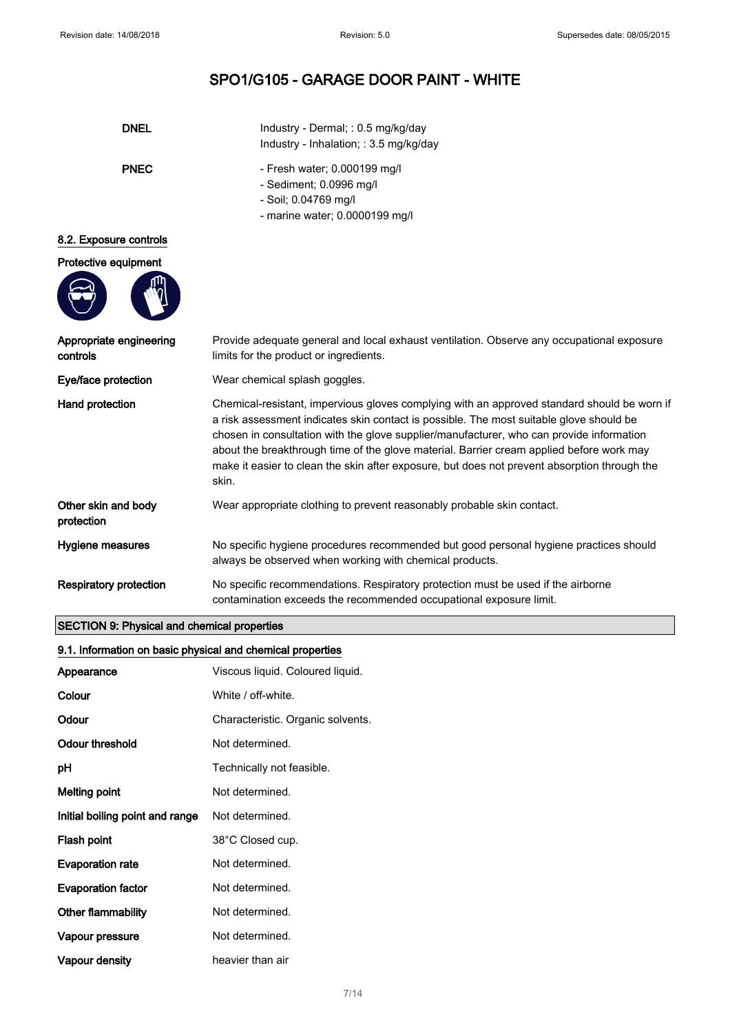| <b>DNEL</b>                                                | Industry - Dermal; : 0.5 mg/kg/day                                                                                                                                                                                                                                                                                                                                                                                                                                                      |  |
|------------------------------------------------------------|-----------------------------------------------------------------------------------------------------------------------------------------------------------------------------------------------------------------------------------------------------------------------------------------------------------------------------------------------------------------------------------------------------------------------------------------------------------------------------------------|--|
|                                                            | Industry - Inhalation; : 3.5 mg/kg/day                                                                                                                                                                                                                                                                                                                                                                                                                                                  |  |
| <b>PNEC</b>                                                | - Fresh water; 0.000199 mg/l                                                                                                                                                                                                                                                                                                                                                                                                                                                            |  |
|                                                            | - Sediment; 0.0996 mg/l                                                                                                                                                                                                                                                                                                                                                                                                                                                                 |  |
|                                                            | - Soil; 0.04769 mg/l                                                                                                                                                                                                                                                                                                                                                                                                                                                                    |  |
|                                                            | - marine water; 0.0000199 mg/l                                                                                                                                                                                                                                                                                                                                                                                                                                                          |  |
| 8.2. Exposure controls                                     |                                                                                                                                                                                                                                                                                                                                                                                                                                                                                         |  |
| Protective equipment                                       |                                                                                                                                                                                                                                                                                                                                                                                                                                                                                         |  |
|                                                            |                                                                                                                                                                                                                                                                                                                                                                                                                                                                                         |  |
| Appropriate engineering<br>controls                        | Provide adequate general and local exhaust ventilation. Observe any occupational exposure<br>limits for the product or ingredients.                                                                                                                                                                                                                                                                                                                                                     |  |
| Eye/face protection                                        | Wear chemical splash goggles.                                                                                                                                                                                                                                                                                                                                                                                                                                                           |  |
| Hand protection                                            | Chemical-resistant, impervious gloves complying with an approved standard should be worn if<br>a risk assessment indicates skin contact is possible. The most suitable glove should be<br>chosen in consultation with the glove supplier/manufacturer, who can provide information<br>about the breakthrough time of the glove material. Barrier cream applied before work may<br>make it easier to clean the skin after exposure, but does not prevent absorption through the<br>skin. |  |
| Other skin and body<br>protection                          | Wear appropriate clothing to prevent reasonably probable skin contact.                                                                                                                                                                                                                                                                                                                                                                                                                  |  |
| Hygiene measures                                           | No specific hygiene procedures recommended but good personal hygiene practices should<br>always be observed when working with chemical products.                                                                                                                                                                                                                                                                                                                                        |  |
| <b>Respiratory protection</b>                              | No specific recommendations. Respiratory protection must be used if the airborne<br>contamination exceeds the recommended occupational exposure limit.                                                                                                                                                                                                                                                                                                                                  |  |
| <b>SECTION 9: Physical and chemical properties</b>         |                                                                                                                                                                                                                                                                                                                                                                                                                                                                                         |  |
| 9.1. Information on basic physical and chemical properties |                                                                                                                                                                                                                                                                                                                                                                                                                                                                                         |  |

| 9.1. Information on basic physical and chemical properties |                                   |  |
|------------------------------------------------------------|-----------------------------------|--|
| Appearance                                                 | Viscous liquid. Coloured liquid.  |  |
| Colour                                                     | White / off-white.                |  |
| Odour                                                      | Characteristic. Organic solvents. |  |
| Odour threshold                                            | Not determined.                   |  |
| рH                                                         | Technically not feasible.         |  |
| <b>Melting point</b>                                       | Not determined.                   |  |
| Initial boiling point and range                            | Not determined.                   |  |
| Flash point                                                | 38°C Closed cup.                  |  |
| <b>Evaporation rate</b>                                    | Not determined.                   |  |
| <b>Evaporation factor</b>                                  | Not determined.                   |  |
| <b>Other flammability</b>                                  | Not determined.                   |  |
| Vapour pressure                                            | Not determined.                   |  |
| Vapour density                                             | heavier than air                  |  |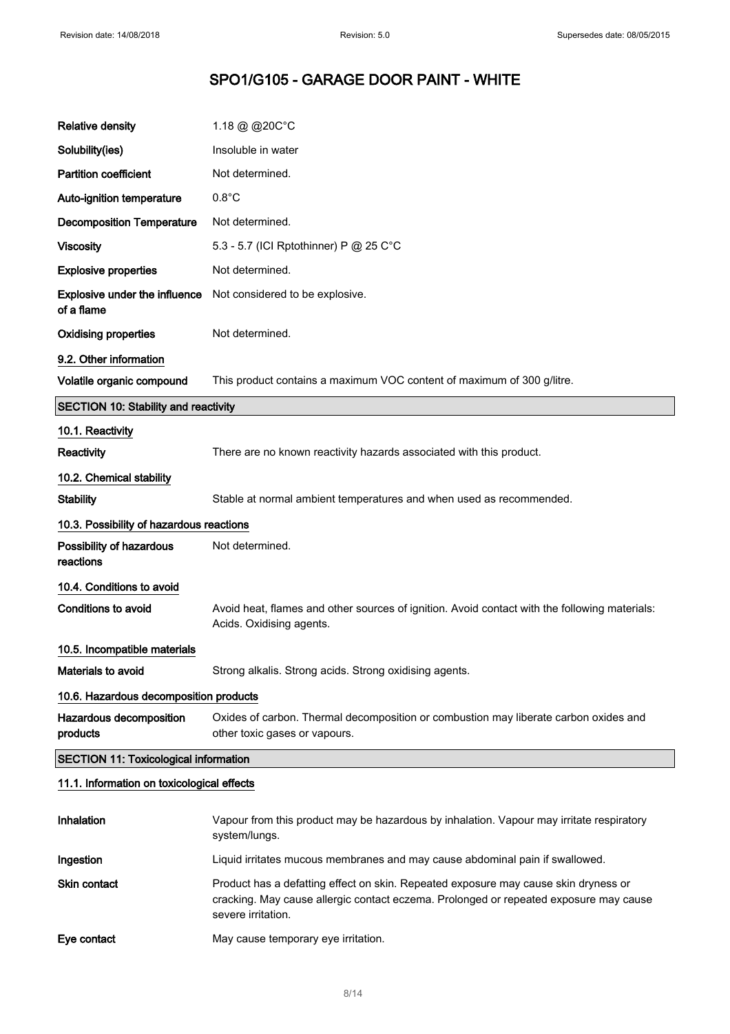| <b>Relative density</b>                            | 1.18 @ @20C°C                                                                                                                                                                                      |  |
|----------------------------------------------------|----------------------------------------------------------------------------------------------------------------------------------------------------------------------------------------------------|--|
| Solubility(ies)                                    | Insoluble in water                                                                                                                                                                                 |  |
| <b>Partition coefficient</b>                       | Not determined.                                                                                                                                                                                    |  |
| Auto-ignition temperature                          | $0.8^{\circ}$ C                                                                                                                                                                                    |  |
| <b>Decomposition Temperature</b>                   | Not determined.                                                                                                                                                                                    |  |
| <b>Viscosity</b>                                   | 5.3 - 5.7 (ICI Rptothinner) P @ 25 C°C                                                                                                                                                             |  |
| <b>Explosive properties</b>                        | Not determined.                                                                                                                                                                                    |  |
| <b>Explosive under the influence</b><br>of a flame | Not considered to be explosive.                                                                                                                                                                    |  |
| <b>Oxidising properties</b>                        | Not determined.                                                                                                                                                                                    |  |
| 9.2. Other information                             |                                                                                                                                                                                                    |  |
| Volatile organic compound                          | This product contains a maximum VOC content of maximum of 300 g/litre.                                                                                                                             |  |
| <b>SECTION 10: Stability and reactivity</b>        |                                                                                                                                                                                                    |  |
| 10.1. Reactivity                                   |                                                                                                                                                                                                    |  |
| Reactivity                                         | There are no known reactivity hazards associated with this product.                                                                                                                                |  |
| 10.2. Chemical stability                           |                                                                                                                                                                                                    |  |
| <b>Stability</b>                                   | Stable at normal ambient temperatures and when used as recommended.                                                                                                                                |  |
| 10.3. Possibility of hazardous reactions           |                                                                                                                                                                                                    |  |
| Possibility of hazardous<br>reactions              | Not determined.                                                                                                                                                                                    |  |
| 10.4. Conditions to avoid                          |                                                                                                                                                                                                    |  |
| <b>Conditions to avoid</b>                         | Avoid heat, flames and other sources of ignition. Avoid contact with the following materials:<br>Acids. Oxidising agents.                                                                          |  |
| 10.5. Incompatible materials                       |                                                                                                                                                                                                    |  |
| Materials to avoid                                 | Strong alkalis. Strong acids. Strong oxidising agents.                                                                                                                                             |  |
| 10.6. Hazardous decomposition products             |                                                                                                                                                                                                    |  |
| Hazardous decomposition<br>products                | Oxides of carbon. Thermal decomposition or combustion may liberate carbon oxides and<br>other toxic gases or vapours.                                                                              |  |
| <b>SECTION 11: Toxicological information</b>       |                                                                                                                                                                                                    |  |
| 11.1. Information on toxicological effects         |                                                                                                                                                                                                    |  |
| Inhalation                                         | Vapour from this product may be hazardous by inhalation. Vapour may irritate respiratory<br>system/lungs.                                                                                          |  |
| Ingestion                                          | Liquid irritates mucous membranes and may cause abdominal pain if swallowed.                                                                                                                       |  |
| Skin contact                                       | Product has a defatting effect on skin. Repeated exposure may cause skin dryness or<br>cracking. May cause allergic contact eczema. Prolonged or repeated exposure may cause<br>severe irritation. |  |
| Eye contact                                        | May cause temporary eye irritation.                                                                                                                                                                |  |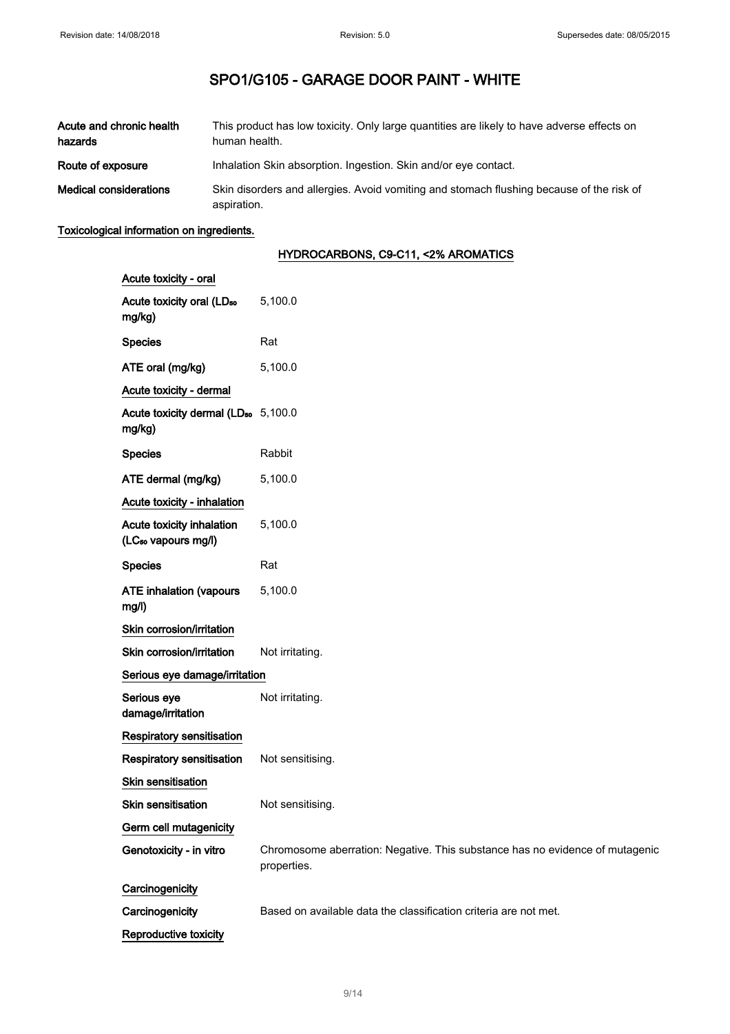| Acute and chronic health<br>hazards | This product has low toxicity. Only large quantities are likely to have adverse effects on<br>human health. |
|-------------------------------------|-------------------------------------------------------------------------------------------------------------|
| Route of exposure                   | Inhalation Skin absorption. Ingestion. Skin and/or eye contact.                                             |
| <b>Medical considerations</b>       | Skin disorders and allergies. Avoid vomiting and stomach flushing because of the risk of<br>aspiration.     |

### Toxicological information on ingredients.

### HYDROCARBONS, C9-C11, <2% AROMATICS

| Acute toxicity - oral                                        |                                                                                             |
|--------------------------------------------------------------|---------------------------------------------------------------------------------------------|
| Acute toxicity oral (LD <sub>50</sub><br>mg/kg)              | 5,100.0                                                                                     |
| <b>Species</b>                                               | Rat                                                                                         |
| ATE oral (mg/kg)                                             | 5,100.0                                                                                     |
| Acute toxicity - dermal                                      |                                                                                             |
| Acute toxicity dermal (LD <sub>50</sub> 5,100.0<br>mg/kg)    |                                                                                             |
| <b>Species</b>                                               | Rabbit                                                                                      |
| ATE dermal (mg/kg)                                           | 5,100.0                                                                                     |
| Acute toxicity - inhalation                                  |                                                                                             |
| Acute toxicity inhalation<br>(LC <sub>50</sub> vapours mg/l) | 5,100.0                                                                                     |
| <b>Species</b>                                               | Rat                                                                                         |
| <b>ATE inhalation (vapours</b><br>mg/l)                      | 5,100.0                                                                                     |
| Skin corrosion/irritation                                    |                                                                                             |
| Skin corrosion/irritation                                    | Not irritating.                                                                             |
| Serious eye damage/irritation                                |                                                                                             |
| Serious eye<br>damage/irritation                             | Not irritating.                                                                             |
| <b>Respiratory sensitisation</b>                             |                                                                                             |
| Respiratory sensitisation                                    | Not sensitising.                                                                            |
| <b>Skin sensitisation</b>                                    |                                                                                             |
| <b>Skin sensitisation</b>                                    | Not sensitising.                                                                            |
| Germ cell mutagenicity                                       |                                                                                             |
| Genotoxicity - in vitro                                      | Chromosome aberration: Negative. This substance has no evidence of mutagenic<br>properties. |
| Carcinogenicity                                              |                                                                                             |
| Carcinogenicity                                              | Based on available data the classification criteria are not met.                            |
| Reproductive toxicity                                        |                                                                                             |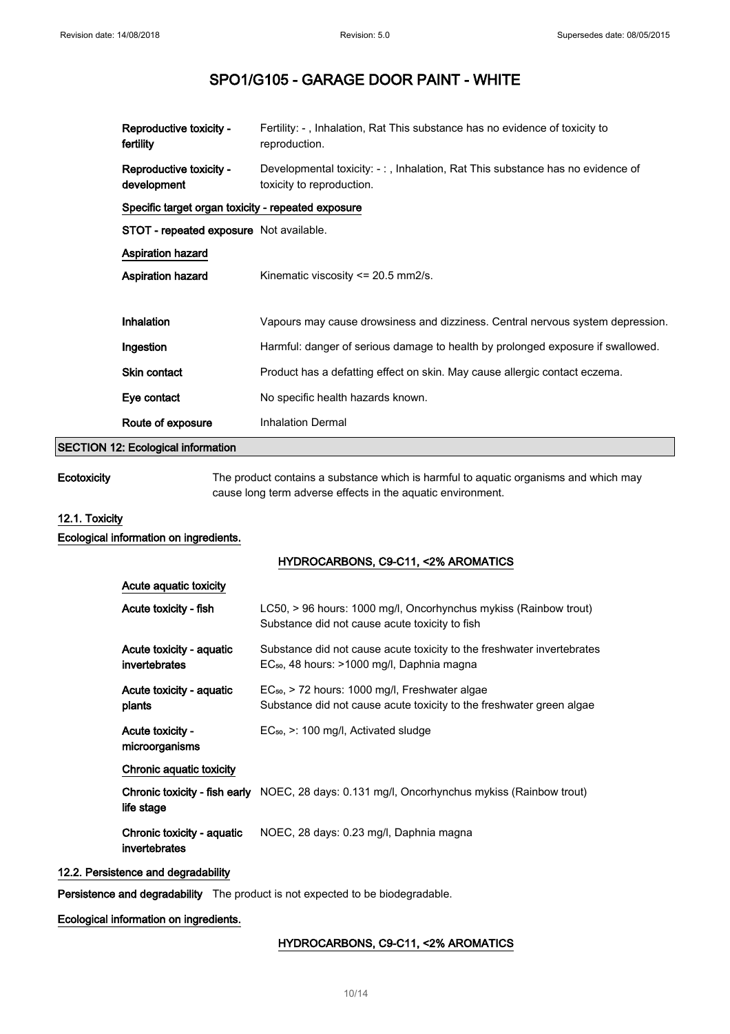| Reproductive toxicity -<br>Developmental toxicity: -:, Inhalation, Rat This substance has no evidence of<br>development<br>toxicity to reproduction.<br>Specific target organ toxicity - repeated exposure<br>STOT - repeated exposure Not available.<br><b>Aspiration hazard</b><br><b>Aspiration hazard</b><br>Kinematic viscosity $\leq$ 20.5 mm2/s.<br>Inhalation<br>Vapours may cause drowsiness and dizziness. Central nervous system depression.<br>Harmful: danger of serious damage to health by prolonged exposure if swallowed.<br>Ingestion<br><b>Skin contact</b><br>Product has a defatting effect on skin. May cause allergic contact eczema.<br>Eye contact<br>No specific health hazards known.<br><b>Inhalation Dermal</b><br>Route of exposure | Reproductive toxicity -<br>fertility | Fertility: -, Inhalation, Rat This substance has no evidence of toxicity to<br>reproduction. |
|-------------------------------------------------------------------------------------------------------------------------------------------------------------------------------------------------------------------------------------------------------------------------------------------------------------------------------------------------------------------------------------------------------------------------------------------------------------------------------------------------------------------------------------------------------------------------------------------------------------------------------------------------------------------------------------------------------------------------------------------------------------------|--------------------------------------|----------------------------------------------------------------------------------------------|
|                                                                                                                                                                                                                                                                                                                                                                                                                                                                                                                                                                                                                                                                                                                                                                   |                                      |                                                                                              |
|                                                                                                                                                                                                                                                                                                                                                                                                                                                                                                                                                                                                                                                                                                                                                                   |                                      |                                                                                              |
|                                                                                                                                                                                                                                                                                                                                                                                                                                                                                                                                                                                                                                                                                                                                                                   |                                      |                                                                                              |
|                                                                                                                                                                                                                                                                                                                                                                                                                                                                                                                                                                                                                                                                                                                                                                   |                                      |                                                                                              |
|                                                                                                                                                                                                                                                                                                                                                                                                                                                                                                                                                                                                                                                                                                                                                                   |                                      |                                                                                              |
|                                                                                                                                                                                                                                                                                                                                                                                                                                                                                                                                                                                                                                                                                                                                                                   |                                      |                                                                                              |
|                                                                                                                                                                                                                                                                                                                                                                                                                                                                                                                                                                                                                                                                                                                                                                   |                                      |                                                                                              |
|                                                                                                                                                                                                                                                                                                                                                                                                                                                                                                                                                                                                                                                                                                                                                                   |                                      |                                                                                              |
|                                                                                                                                                                                                                                                                                                                                                                                                                                                                                                                                                                                                                                                                                                                                                                   |                                      |                                                                                              |
|                                                                                                                                                                                                                                                                                                                                                                                                                                                                                                                                                                                                                                                                                                                                                                   |                                      |                                                                                              |
|                                                                                                                                                                                                                                                                                                                                                                                                                                                                                                                                                                                                                                                                                                                                                                   |                                      |                                                                                              |

### SECTION 12: Ecological information

Ecotoxicity The product contains a substance which is harmful to aquatic organisms and which may cause long term adverse effects in the aquatic environment.

### 12.1. Toxicity

Ecological information on ingredients.

### HYDROCARBONS, C9-C11, <2% AROMATICS

| Acute aquatic toxicity                      |                                                                                                                                  |
|---------------------------------------------|----------------------------------------------------------------------------------------------------------------------------------|
| Acute toxicity - fish                       | LC50, > 96 hours: 1000 mg/l, Oncorhynchus mykiss (Rainbow trout)<br>Substance did not cause acute toxicity to fish               |
| Acute toxicity - aquatic<br>invertebrates   | Substance did not cause acute toxicity to the freshwater invertebrates<br>EC <sub>50</sub> , 48 hours: >1000 mg/l, Daphnia magna |
| Acute toxicity - aquatic<br>plants          | $EC_{50}$ , > 72 hours: 1000 mg/l, Freshwater algae<br>Substance did not cause acute toxicity to the freshwater green algae      |
| <b>Acute toxicity -</b><br>microorganisms   | $EC_{50}$ , $\geq$ : 100 mg/l, Activated sludge                                                                                  |
| Chronic aquatic toxicity                    |                                                                                                                                  |
| life stage                                  | <b>Chronic toxicity - fish early</b> NOEC, 28 days: 0.131 mg/l, Oncorhynchus mykiss (Rainbow trout)                              |
| Chronic toxicity - aquatic<br>invertebrates | NOEC, 28 days: 0.23 mg/l, Daphnia magna                                                                                          |

### 12.2. Persistence and degradability

Persistence and degradability The product is not expected to be biodegradable.

### Ecological information on ingredients.

### HYDROCARBONS, C9-C11, <2% AROMATICS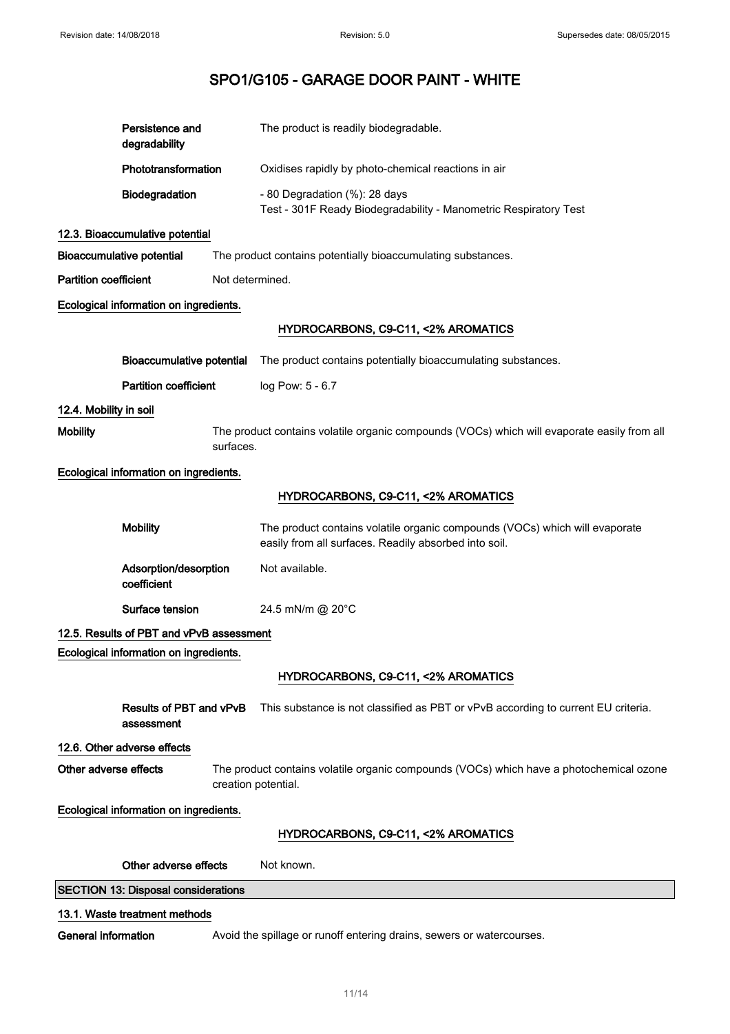|                              | Persistence and<br>degradability           | The product is readily biodegradable.                                                                                                |
|------------------------------|--------------------------------------------|--------------------------------------------------------------------------------------------------------------------------------------|
|                              | Phototransformation                        | Oxidises rapidly by photo-chemical reactions in air                                                                                  |
|                              | Biodegradation                             | - 80 Degradation (%): 28 days<br>Test - 301F Ready Biodegradability - Manometric Respiratory Test                                    |
|                              | 12.3. Bioaccumulative potential            |                                                                                                                                      |
|                              | <b>Bioaccumulative potential</b>           | The product contains potentially bioaccumulating substances.                                                                         |
| <b>Partition coefficient</b> |                                            | Not determined.                                                                                                                      |
|                              | Ecological information on ingredients.     |                                                                                                                                      |
|                              |                                            | HYDROCARBONS, C9-C11, <2% AROMATICS                                                                                                  |
|                              | <b>Bioaccumulative potential</b>           | The product contains potentially bioaccumulating substances.                                                                         |
|                              | <b>Partition coefficient</b>               | log Pow: 5 - 6.7                                                                                                                     |
| 12.4. Mobility in soil       |                                            |                                                                                                                                      |
| <b>Mobility</b>              |                                            | The product contains volatile organic compounds (VOCs) which will evaporate easily from all<br>surfaces.                             |
|                              | Ecological information on ingredients.     |                                                                                                                                      |
|                              |                                            | HYDROCARBONS, C9-C11, <2% AROMATICS                                                                                                  |
|                              | <b>Mobility</b>                            | The product contains volatile organic compounds (VOCs) which will evaporate<br>easily from all surfaces. Readily absorbed into soil. |
|                              | Adsorption/desorption<br>coefficient       | Not available.                                                                                                                       |
|                              | Surface tension                            | 24.5 mN/m @ 20°C                                                                                                                     |
|                              | 12.5. Results of PBT and vPvB assessment   |                                                                                                                                      |
|                              | Ecological information on ingredients.     |                                                                                                                                      |
|                              |                                            | HYDROCARBONS, C9-C11, <2% AROMATICS                                                                                                  |
|                              | Results of PBT and vPvB<br>assessment      | This substance is not classified as PBT or vPvB according to current EU criteria.                                                    |
|                              | 12.6. Other adverse effects                |                                                                                                                                      |
| Other adverse effects        |                                            | The product contains volatile organic compounds (VOCs) which have a photochemical ozone<br>creation potential.                       |
|                              | Ecological information on ingredients.     |                                                                                                                                      |
|                              |                                            | HYDROCARBONS, C9-C11, <2% AROMATICS                                                                                                  |
|                              | Other adverse effects                      | Not known.                                                                                                                           |
|                              | <b>SECTION 13: Disposal considerations</b> |                                                                                                                                      |
|                              | 13.1. Waste treatment methods              |                                                                                                                                      |
| <b>General information</b>   |                                            | Avoid the spillage or runoff entering drains, sewers or watercourses.                                                                |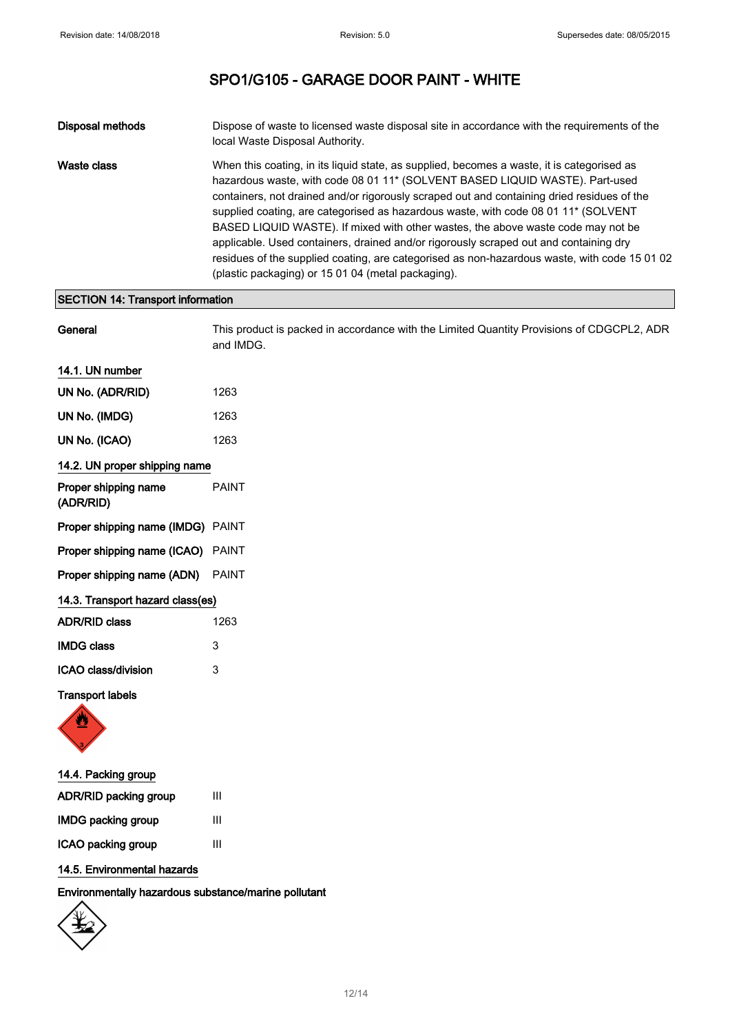| Disposal methods | Dispose of waste to licensed waste disposal site in accordance with the requirements of the<br>local Waste Disposal Authority.                                                                                                                                                                                                                                                                                                                                                                                                                                                                                                                                                                                |
|------------------|---------------------------------------------------------------------------------------------------------------------------------------------------------------------------------------------------------------------------------------------------------------------------------------------------------------------------------------------------------------------------------------------------------------------------------------------------------------------------------------------------------------------------------------------------------------------------------------------------------------------------------------------------------------------------------------------------------------|
| Waste class      | When this coating, in its liquid state, as supplied, becomes a waste, it is categorised as<br>hazardous waste, with code 08 01 11* (SOLVENT BASED LIQUID WASTE). Part-used<br>containers, not drained and/or rigorously scraped out and containing dried residues of the<br>supplied coating, are categorised as hazardous waste, with code 08 01 11 <sup>*</sup> (SOLVENT<br>BASED LIQUID WASTE). If mixed with other wastes, the above waste code may not be<br>applicable. Used containers, drained and/or rigorously scraped out and containing dry<br>residues of the supplied coating, are categorised as non-hazardous waste, with code 15 01 02<br>(plastic packaging) or 15 01 04 (metal packaging). |

### SECTION 14: Transport information

| General                           | This product is packed in accordance with the Limited Quantity Provisions of CDGCPL2, ADR<br>and IMDG. |
|-----------------------------------|--------------------------------------------------------------------------------------------------------|
| 14.1. UN number                   |                                                                                                        |
| UN No. (ADR/RID)                  | 1263                                                                                                   |
| UN No. (IMDG)                     | 1263                                                                                                   |
| UN No. (ICAO)                     | 1263                                                                                                   |
| 14.2. UN proper shipping name     |                                                                                                        |
| Proper shipping name<br>(ADR/RID) | <b>PAINT</b>                                                                                           |
| Proper shipping name (IMDG) PAINT |                                                                                                        |
| Proper shipping name (ICAO) PAINT |                                                                                                        |
| Proper shipping name (ADN)        | <b>PAINT</b>                                                                                           |
| 14.3. Transport hazard class(es)  |                                                                                                        |
| <b>ADR/RID class</b>              | 1263                                                                                                   |
| <b>IMDG class</b>                 | 3                                                                                                      |
| ICAO class/division               | 3                                                                                                      |
| <b>Transport labels</b>           |                                                                                                        |



| 14.4. Packing group       |   |
|---------------------------|---|
| ADR/RID packing group     | Ш |
| <b>IMDG packing group</b> | Ш |
| ICAO packing group        | Ш |

### 14.5. Environmental hazards

Environmentally hazardous substance/marine pollutant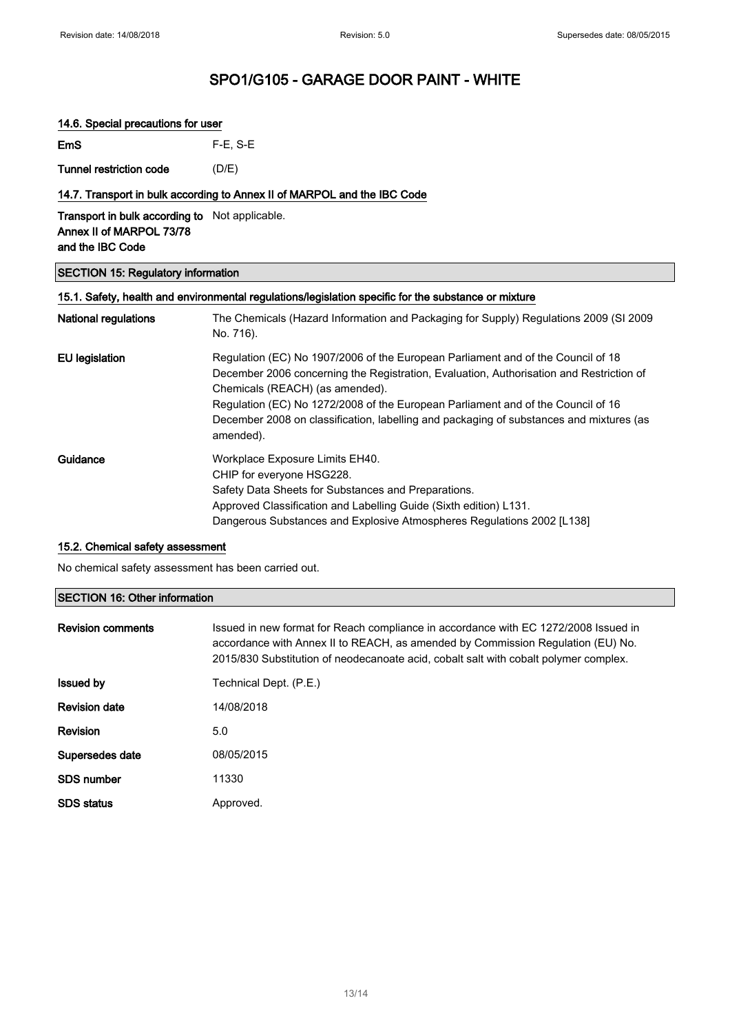### 14.6. Special precautions for user

| <b>EmS</b> | $F-E$ , S-E |
|------------|-------------|
|            |             |

Tunnel restriction code (D/E)

### 14.7. Transport in bulk according to Annex II of MARPOL and the IBC Code

Transport in bulk according to Not applicable. Annex II of MARPOL 73/78 and the IBC Code

### SECTION 15: Regulatory information

| 15.1. Safety, health and environmental regulations/legislation specific for the substance or mixture |                                                                                                                                                                                                                                                                                                                                                                                                            |  |
|------------------------------------------------------------------------------------------------------|------------------------------------------------------------------------------------------------------------------------------------------------------------------------------------------------------------------------------------------------------------------------------------------------------------------------------------------------------------------------------------------------------------|--|
| <b>National regulations</b>                                                                          | The Chemicals (Hazard Information and Packaging for Supply) Regulations 2009 (SI 2009<br>No. 716).                                                                                                                                                                                                                                                                                                         |  |
| <b>EU</b> legislation                                                                                | Regulation (EC) No 1907/2006 of the European Parliament and of the Council of 18<br>December 2006 concerning the Registration, Evaluation, Authorisation and Restriction of<br>Chemicals (REACH) (as amended).<br>Regulation (EC) No 1272/2008 of the European Parliament and of the Council of 16<br>December 2008 on classification, labelling and packaging of substances and mixtures (as<br>amended). |  |
| Guidance                                                                                             | Workplace Exposure Limits EH40.<br>CHIP for everyone HSG228.<br>Safety Data Sheets for Substances and Preparations.<br>Approved Classification and Labelling Guide (Sixth edition) L131.<br>Dangerous Substances and Explosive Atmospheres Regulations 2002 [L138]                                                                                                                                         |  |

### 15.2. Chemical safety assessment

No chemical safety assessment has been carried out.

### SECTION 16: Other information

| <b>Revision comments</b> | Issued in new format for Reach compliance in accordance with EC 1272/2008 Issued in<br>accordance with Annex II to REACH, as amended by Commission Regulation (EU) No.<br>2015/830 Substitution of neodecanoate acid, cobalt salt with cobalt polymer complex. |
|--------------------------|----------------------------------------------------------------------------------------------------------------------------------------------------------------------------------------------------------------------------------------------------------------|
| <b>Issued by</b>         | Technical Dept. (P.E.)                                                                                                                                                                                                                                         |
| <b>Revision date</b>     | 14/08/2018                                                                                                                                                                                                                                                     |
| Revision                 | 5.0                                                                                                                                                                                                                                                            |
| Supersedes date          | 08/05/2015                                                                                                                                                                                                                                                     |
| <b>SDS</b> number        | 11330                                                                                                                                                                                                                                                          |
| <b>SDS</b> status        | Approved.                                                                                                                                                                                                                                                      |